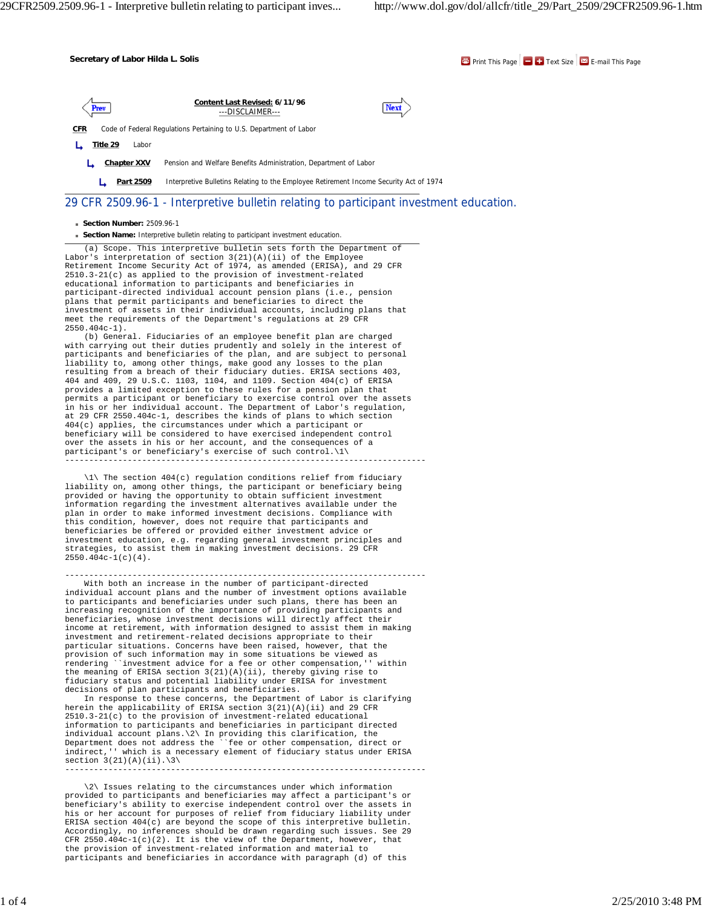**Next** 





**CFR** Code of Federal Regulations Pertaining to U.S. Department of Labor

L<sub>3</sub> Title 29 Labor

**L. Chapter XXV** Pension and Welfare Benefits Administration, Department of Labor

**Content Last Revised: 6/11/96** ---DISCLAIMER---

**Part 2509** Interpretive Bulletins Relating to the Employee Retirement Income Security Act of 1974

29 CFR 2509.96-1 - Interpretive bulletin relating to participant investment education.

**Section Number:** 2509.96-1

**Section Name:** Interpretive bulletin relating to participant investment education.

 (a) Scope. This interpretive bulletin sets forth the Department of Labor's interpretation of section 3(21)(A)(ii) of the Employee Retirement Income Security Act of 1974, as amended (ERISA), and 29 CFR 2510.3-21(c) as applied to the provision of investment-related educational information to participants and beneficiaries in participant-directed individual account pension plans (i.e., pension plans that permit participants and beneficiaries to direct the investment of assets in their individual accounts, including plans that meet the requirements of the Department's regulations at 29 CFR  $2550.404c-1$ .

 (b) General. Fiduciaries of an employee benefit plan are charged with carrying out their duties prudently and solely in the interest of participants and beneficiaries of the plan, and are subject to personal liability to, among other things, make good any losses to the plan resulting from a breach of their fiduciary duties. ERISA sections 403, 404 and 409, 29 U.S.C. 1103, 1104, and 1109. Section 404(c) of ERISA provides a limited exception to these rules for a pension plan that permits a participant or beneficiary to exercise control over the assets in his or her individual account. The Department of Labor's regulation, at 29 CFR 2550.404c-1, describes the kinds of plans to which section 404(c) applies, the circumstances under which a participant or beneficiary will be considered to have exercised independent control over the assets in his or her account, and the consequences of a participant's or beneficiary's exercise of such control.\1\ ---------------------------------------------------------------------------

 \1\ The section 404(c) regulation conditions relief from fiduciary liability on, among other things, the participant or beneficiary being provided or having the opportunity to obtain sufficient investment information regarding the investment alternatives available under the plan in order to make informed investment decisions. Compliance with this condition, however, does not require that participants and beneficiaries be offered or provided either investment advice or investment education, e.g. regarding general investment principles and strategies, to assist them in making investment decisions. 29 CFR  $2550.404c-1(c)(4)$ .

--------------------------------------------------------------------------- With both an increase in the number of participant-directed

individual account plans and the number of investment options available to participants and beneficiaries under such plans, there has been an increasing recognition of the importance of providing participants and beneficiaries, whose investment decisions will directly affect their income at retirement, with information designed to assist them in making investment and retirement-related decisions appropriate to their particular situations. Concerns have been raised, however, that the provision of such information may in some situations be viewed as rendering ``investment advice for a fee or other compensation,'' within the meaning of ERISA section  $3(21)(A)(ii)$ , thereby giving rise to fiduciary status and potential liability under ERISA for investment decisions of plan participants and beneficiaries.

 In response to these concerns, the Department of Labor is clarifying herein the applicability of ERISA section 3(21)(A)(ii) and 29 CFR 2510.3-21(c) to the provision of investment-related educational information to participants and beneficiaries in participant directed individual account plans.\2\ In providing this clarification, the Department does not address the ``fee or other compensation, direct or indirect,'' which is a necessary element of fiduciary status under ERISA section  $3(21)(A)(ii).\3$ ---------------------------------------------------------------------------

 \2\ Issues relating to the circumstances under which information provided to participants and beneficiaries may affect a participant's or beneficiary's ability to exercise independent control over the assets in his or her account for purposes of relief from fiduciary liability under ERISA section 404(c) are beyond the scope of this interpretive bulletin. Accordingly, no inferences should be drawn regarding such issues. See 29 CFR  $2550.404c-1(c)(2)$ . It is the view of the Department, however, that the provision of investment-related information and material to participants and beneficiaries in accordance with paragraph (d) of this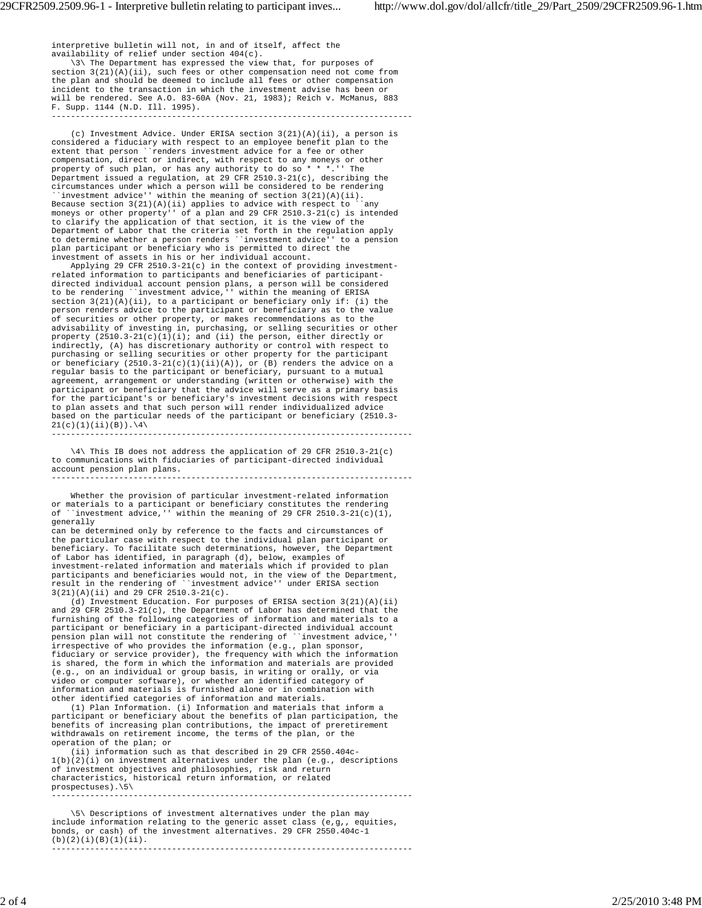interpretive bulletin will not, in and of itself, affect the availability of relief under section 404(c).

\3\ The Department has expressed the view that, for purposes of section  $3(21)(A)(ii)$ , such fees or other compensation need not come from the plan and should be deemed to include all fees or other compensation incident to the transaction in which the investment advise has been or will be rendered. See A.O. 83-60A (Nov. 21, 1983); Reich v. McManus, 883 F. Supp. 1144 (N.D. Ill. 1995). ---------------------------------------------------------------------------

 (c) Investment Advice. Under ERISA section 3(21)(A)(ii), a person is considered a fiduciary with respect to an employee benefit plan to the extent that person ``renders investment advice for a fee or other compensation, direct or indirect, with respect to any moneys or other property of such plan, or has any authority to do so \* \* \*.'' The Department issued a regulation, at 29 CFR 2510.3-21(c), describing the circumstances under which a person will be considered to be rendering ``investment advice'' within the meaning of section 3(21)(A)(ii). Because section  $3(21)(A)(ii)$  applies to advice with respect to 'any moneys or other property'' of a plan and 29 CFR 2510.3-21(c) is intended to clarify the application of that section, it is the view of the Department of Labor that the criteria set forth in the regulation apply to determine whether a person renders ``investment advice'' to a pension plan participant or beneficiary who is permitted to direct the investment of assets in his or her individual account.

 Applying 29 CFR 2510.3-21(c) in the context of providing investmentrelated information to participants and beneficiaries of participantdirected individual account pension plans, a person will be considered to be rendering ``investment advice,'' within the meaning of ERISA `investment advice,'' within the meaning of ERISA section  $3(21)(A)(ii)$ , to a participant or beneficiary only if: (i) the person renders advice to the participant or beneficiary as to the value of securities or other property, or makes recommendations as to the advisability of investing in, purchasing, or selling securities or other property  $(2510.3-21(c)(1)(i);$  and (ii) the person, either directly or indirectly, (A) has discretionary authority or control with respect to purchasing or selling securities or other property for the participant or beneficiary  $(2510.3-21(c)(1)(ii)(A))$ , or  $(B)$  renders the advice on a regular basis to the participant or beneficiary, pursuant to a mutual agreement, arrangement or understanding (written or otherwise) with the participant or beneficiary that the advice will serve as a primary basis for the participant's or beneficiary's investment decisions with respect to plan assets and that such person will render individualized advice based on the particular needs of the participant or beneficiary (2510.3-  $21(c)(1)(ii)(B)).\4$ ---------------------------------------------------------------------------

 \4\ This IB does not address the application of 29 CFR 2510.3-21(c) to communications with fiduciaries of participant-directed individual account pension plan plans. ---------------------------------------------------------------------------

 Whether the provision of particular investment-related information or materials to a participant or beneficiary constitutes the rendering of ``investment advice,'' within the meaning of 29 CFR 2510.3-21(c)(1), generally

can be determined only by reference to the facts and circumstances of the particular case with respect to the individual plan participant or beneficiary. To facilitate such determinations, however, the Department of Labor has identified, in paragraph (d), below, examples of investment-related information and materials which if provided to plan participants and beneficiaries would not, in the view of the Department, result in the rendering of ``investment advice'' under ERISA section 3(21)(A)(ii) and 29 CFR 2510.3-21(c).

 (d) Investment Education. For purposes of ERISA section 3(21)(A)(ii) and 29 CFR 2510.3-21(c), the Department of Labor has determined that the furnishing of the following categories of information and materials to a participant or beneficiary in a participant-directed individual account pension plan will not constitute the rendering of ``investment advice,'' irrespective of who provides the information (e.g., plan sponsor, fiduciary or service provider), the frequency with which the information is shared, the form in which the information and materials are provided (e.g., on an individual or group basis, in writing or orally, or via video or computer software), or whether an identified category of information and materials is furnished alone or in combination with other identified categories of information and materials.

 (1) Plan Information. (i) Information and materials that inform a participant or beneficiary about the benefits of plan participation, the benefits of increasing plan contributions, the impact of preretirement withdrawals on retirement income, the terms of the plan, or the operation of the plan; or

 (ii) information such as that described in 29 CFR 2550.404c-1(b)(2)(i) on investment alternatives under the plan (e.g., descriptions of investment objectives and philosophies, risk and return characteristics, historical return information, or related prospectuses).\5\ ---------------------------------------------------------------------------

 \5\ Descriptions of investment alternatives under the plan may include information relating to the generic asset class (e,g,, equities, bonds, or cash) of the investment alternatives. 29 CFR 2550.404c-1 (b)(2)(i)(B)(1)(ii).

---------------------------------------------------------------------------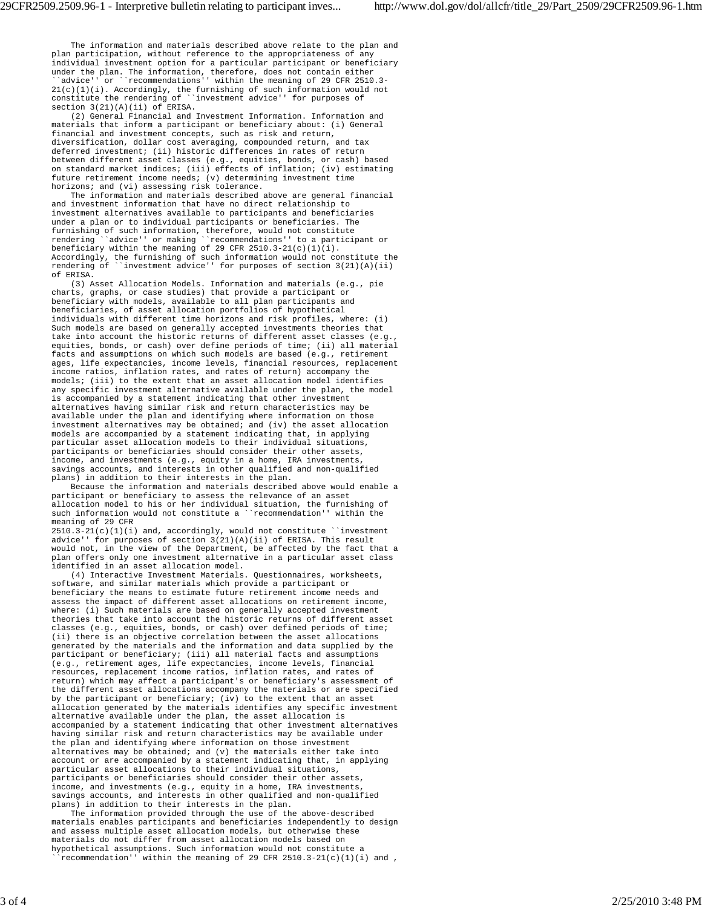The information and materials described above relate to the plan and plan participation, without reference to the appropriateness of any individual investment option for a particular participant or beneficiary under the plan. The information, therefore, does not contain either ``advice'' or ``recommendations'' within the meaning of 29 CFR 2510.3-  $21(c)(1)(i)$ . Accordingly, the furnishing of such information would not constitute the rendering of ``investment advice'' for purposes of section 3(21)(A)(ii) of ERISA.

 (2) General Financial and Investment Information. Information and materials that inform a participant or beneficiary about: (i) General financial and investment concepts, such as risk and return, diversification, dollar cost averaging, compounded return, and tax deferred investment; (ii) historic differences in rates of return between different asset classes (e.g., equities, bonds, or cash) based on standard market indices; (iii) effects of inflation; (iv) estimating future retirement income needs; (v) determining investment time horizons; and (vi) assessing risk tolerance.

 The information and materials described above are general financial and investment information that have no direct relationship to investment alternatives available to participants and beneficiaries under a plan or to individual participants or beneficiaries. The furnishing of such information, therefore, would not constitute rendering ``advice'' or making ``recommendations'' to a participant or beneficiary within the meaning of 29 CFR 2510.3-21(c)(1)(i). Accordingly, the furnishing of such information would not constitute the rendering of ``investment advice'' for purposes of section 3(21)(A)(ii) of ERISA.

 (3) Asset Allocation Models. Information and materials (e.g., pie charts, graphs, or case studies) that provide a participant or beneficiary with models, available to all plan participants and beneficiaries, of asset allocation portfolios of hypothetical individuals with different time horizons and risk profiles, where: (i) Such models are based on generally accepted investments theories that take into account the historic returns of different asset classes (e.g. equities, bonds, or cash) over define periods of time; (ii) all material facts and assumptions on which such models are based (e.g., retirement ages, life expectancies, income levels, financial resources, replacement income ratios, inflation rates, and rates of return) accompany the models; (iii) to the extent that an asset allocation model identifies any specific investment alternative available under the plan, the model is accompanied by a statement indicating that other investment alternatives having similar risk and return characteristics may be available under the plan and identifying where information on those investment alternatives may be obtained; and (iv) the asset allocation models are accompanied by a statement indicating that, in applying particular asset allocation models to their individual situations, participants or beneficiaries should consider their other assets, income, and investments (e.g., equity in a home, IRA investments, savings accounts, and interests in other qualified and non-qualified plans) in addition to their interests in the plan.

 Because the information and materials described above would enable a participant or beneficiary to assess the relevance of an asset allocation model to his or her individual situation, the furnishing of such information would not constitute a ``recommendation'' within the meaning of 29 CFR

2510.3-21(c)(1)(i) and, accordingly, would not constitute ``investment advice'' for purposes of section 3(21)(A)(ii) of ERISA. This result would not, in the view of the Department, be affected by the fact that a plan offers only one investment alternative in a particular asset class identified in an asset allocation model.

 (4) Interactive Investment Materials. Questionnaires, worksheets, software, and similar materials which provide a participant or beneficiary the means to estimate future retirement income needs and assess the impact of different asset allocations on retirement income, where: (i) Such materials are based on generally accepted investment theories that take into account the historic returns of different asset classes (e.g., equities, bonds, or cash) over defined periods of time; (ii) there is an objective correlation between the asset allocations generated by the materials and the information and data supplied by the participant or beneficiary; (iii) all material facts and assumptions (e.g., retirement ages, life expectancies, income levels, financial resources, replacement income ratios, inflation rates, and rates of return) which may affect a participant's or beneficiary's assessment of the different asset allocations accompany the materials or are specified by the participant or beneficiary; (iv) to the extent that an asset allocation generated by the materials identifies any specific investment alternative available under the plan, the asset allocation is accompanied by a statement indicating that other investment alternatives having similar risk and return characteristics may be available under the plan and identifying where information on those investment alternatives may be obtained; and (v) the materials either take into account or are accompanied by a statement indicating that, in applying particular asset allocations to their individual situations, participants or beneficiaries should consider their other assets, income, and investments (e.g., equity in a home, IRA investments, savings accounts, and interests in other qualified and non-qualified plans) in addition to their interests in the plan.

 The information provided through the use of the above-described materials enables participants and beneficiaries independently to design and assess multiple asset allocation models, but otherwise these materials do not differ from asset allocation models based on hypothetical assumptions. Such information would not constitute a ``recommendation'' within the meaning of 29 CFR 2510.3-21(c)(1)(i) and ,